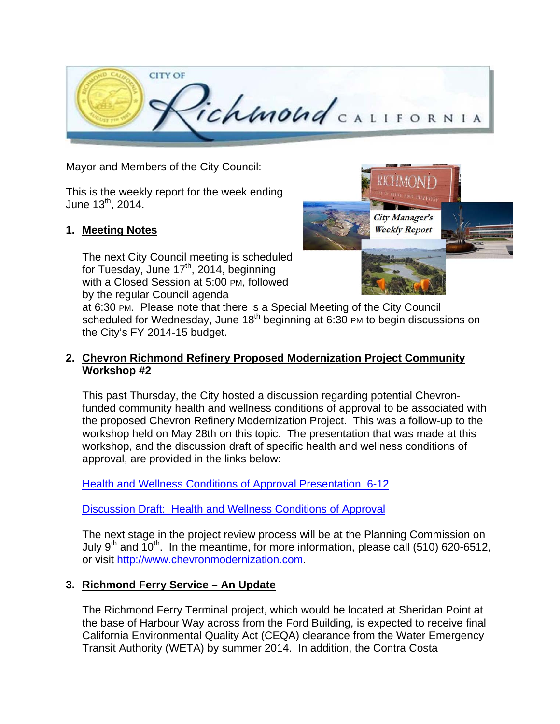

Mayor and Members of the City Council:

This is the weekly report for the week ending June  $13^{th}$ , 2014.

### **1. Meeting Notes**

The next City Council meeting is scheduled for Tuesday, June 17<sup>th</sup>, 2014, beginning with a Closed Session at 5:00 PM, followed by the regular Council agenda



at 6:30 PM. Please note that there is a Special Meeting of the City Council scheduled for Wednesday, June 18<sup>th</sup> beginning at 6:30 PM to begin discussions on the City's FY 2014-15 budget.

### **2. Chevron Richmond Refinery Proposed Modernization Project Community Workshop #2**

This past Thursday, the City hosted a discussion regarding potential Chevronfunded community health and wellness conditions of approval to be associated with the proposed Chevron Refinery Modernization Project. This was a follow-up to the workshop held on May 28th on this topic. The presentation that was made at this workshop, and the discussion draft of specific health and wellness conditions of approval, are provided in the links below:

Health and Wellness Conditions of Approval Presentation\_6-12

Discussion Draft: Health and Wellness Conditions of Approval

The next stage in the project review process will be at the Planning Commission on July 9<sup>th</sup> and  $10^{th}$ . In the meantime, for more information, please call (510) 620-6512, or visit http://www.chevronmodernization.com.

# **3. Richmond Ferry Service – An Update**

The Richmond Ferry Terminal project, which would be located at Sheridan Point at the base of Harbour Way across from the Ford Building, is expected to receive final California Environmental Quality Act (CEQA) clearance from the Water Emergency Transit Authority (WETA) by summer 2014. In addition, the Contra Costa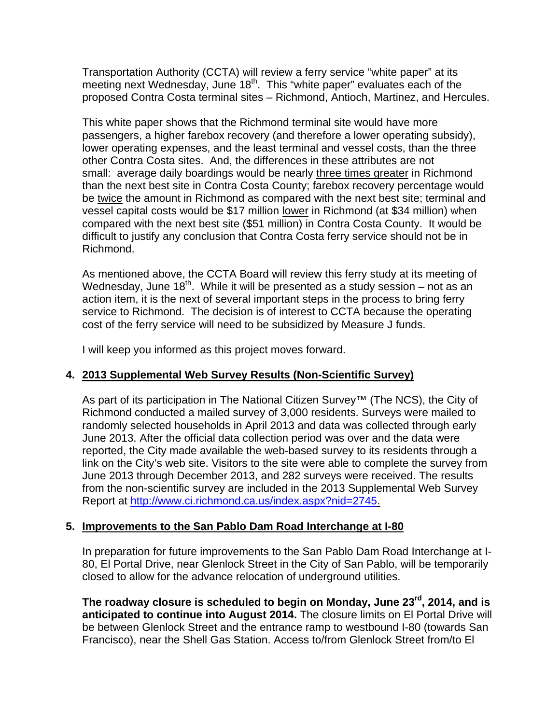Transportation Authority (CCTA) will review a ferry service "white paper" at its meeting next Wednesday, June 18<sup>th</sup>. This "white paper" evaluates each of the proposed Contra Costa terminal sites – Richmond, Antioch, Martinez, and Hercules.

This white paper shows that the Richmond terminal site would have more passengers, a higher farebox recovery (and therefore a lower operating subsidy), lower operating expenses, and the least terminal and vessel costs, than the three other Contra Costa sites. And, the differences in these attributes are not small: average daily boardings would be nearly three times greater in Richmond than the next best site in Contra Costa County; farebox recovery percentage would be twice the amount in Richmond as compared with the next best site; terminal and vessel capital costs would be \$17 million lower in Richmond (at \$34 million) when compared with the next best site (\$51 million) in Contra Costa County. It would be difficult to justify any conclusion that Contra Costa ferry service should not be in Richmond.

As mentioned above, the CCTA Board will review this ferry study at its meeting of Wednesday, June 18<sup>th</sup>. While it will be presented as a study session  $-$  not as an action item, it is the next of several important steps in the process to bring ferry service to Richmond. The decision is of interest to CCTA because the operating cost of the ferry service will need to be subsidized by Measure J funds.

I will keep you informed as this project moves forward.

# **4. 2013 Supplemental Web Survey Results (Non-Scientific Survey)**

As part of its participation in The National Citizen Survey™ (The NCS), the City of Richmond conducted a mailed survey of 3,000 residents. Surveys were mailed to randomly selected households in April 2013 and data was collected through early June 2013. After the official data collection period was over and the data were reported, the City made available the web-based survey to its residents through a link on the City's web site. Visitors to the site were able to complete the survey from June 2013 through December 2013, and 282 surveys were received. The results from the non-scientific survey are included in the 2013 Supplemental Web Survey Report at http://www.ci.richmond.ca.us/index.aspx?nid=2745.

#### **5. Improvements to the San Pablo Dam Road Interchange at I-80**

In preparation for future improvements to the San Pablo Dam Road Interchange at I-80, El Portal Drive, near Glenlock Street in the City of San Pablo, will be temporarily closed to allow for the advance relocation of underground utilities.

**The roadway closure is scheduled to begin on Monday, June 23rd, 2014, and is anticipated to continue into August 2014.** The closure limits on El Portal Drive will be between Glenlock Street and the entrance ramp to westbound I-80 (towards San Francisco), near the Shell Gas Station. Access to/from Glenlock Street from/to El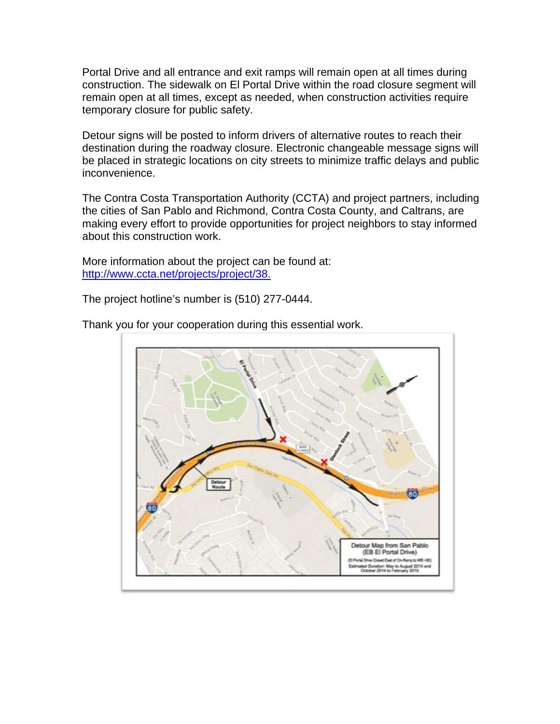Portal Drive and all entrance and exit ramps will remain open at all times during construction. The sidewalk on El Portal Drive within the road closure segment will remain open at all times, except as needed, when construction activities require temporary closure for public safety.

Detour signs will be posted to inform drivers of alternative routes to reach their destination during the roadway closure. Electronic changeable message signs will be placed in strategic locations on city streets to minimize traffic delays and public inconvenience.

The Contra Costa Transportation Authority (CCTA) and project partners, including the cities of San Pablo and Richmond, Contra Costa County, and Caltrans, are making every effort to provide opportunities for project neighbors to stay informed about this construction work.

More information about the project can be found at: http://www.ccta.net/projects/project/38.

The project hotline's number is (510) 277-0444.



Thank you for your cooperation during this essential work.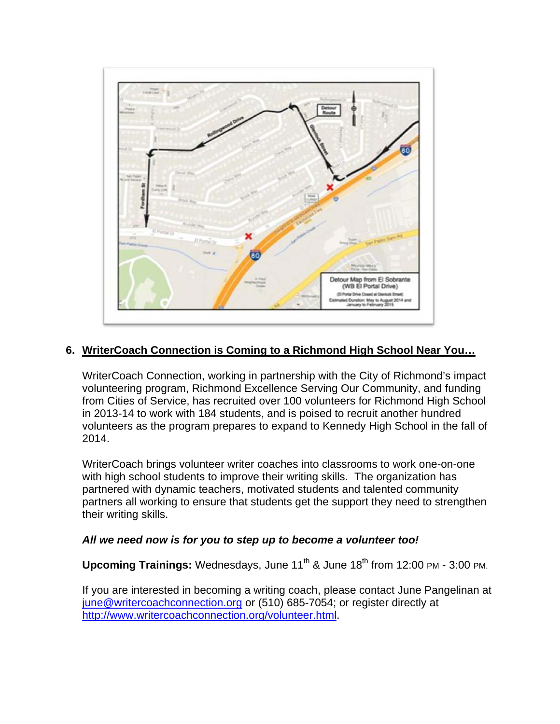

# **6. WriterCoach Connection is Coming to a Richmond High School Near You…**

WriterCoach Connection, working in partnership with the City of Richmond's impact volunteering program, Richmond Excellence Serving Our Community, and funding from Cities of Service, has recruited over 100 volunteers for Richmond High School in 2013-14 to work with 184 students, and is poised to recruit another hundred volunteers as the program prepares to expand to Kennedy High School in the fall of 2014.

WriterCoach brings volunteer writer coaches into classrooms to work one-on-one with high school students to improve their writing skills. The organization has partnered with dynamic teachers, motivated students and talented community partners all working to ensure that students get the support they need to strengthen their writing skills.

#### *All we need now is for you to step up to become a volunteer too!*

**Upcoming Trainings:** Wednesdays, June 11<sup>th</sup> & June 18<sup>th</sup> from 12:00 PM - 3:00 PM.

If you are interested in becoming a writing coach, please contact June Pangelinan at june@writercoachconnection.org or (510) 685-7054; or register directly at http://www.writercoachconnection.org/volunteer.html.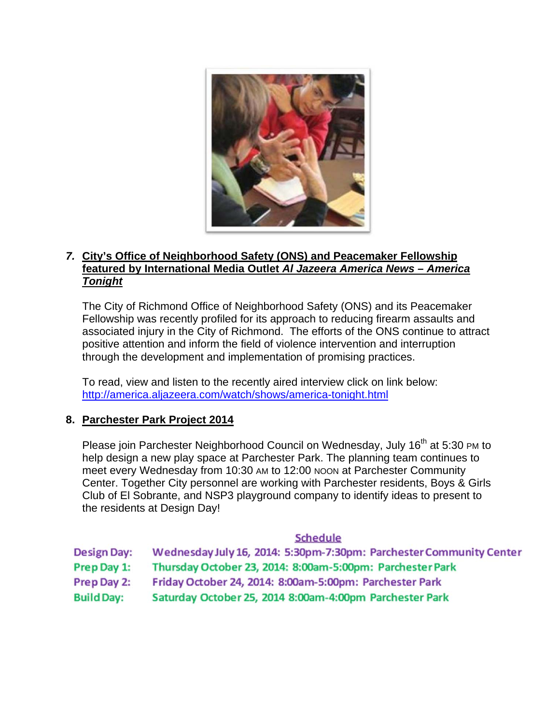

### *7.* **City's Office of Neighborhood Safety (ONS) and Peacemaker Fellowship featured by International Media Outlet** *Al Jazeera America News – America Tonight*

The City of Richmond Office of Neighborhood Safety (ONS) and its Peacemaker Fellowship was recently profiled for its approach to reducing firearm assaults and associated injury in the City of Richmond. The efforts of the ONS continue to attract positive attention and inform the field of violence intervention and interruption through the development and implementation of promising practices.

To read, view and listen to the recently aired interview click on link below: http://america.aljazeera.com/watch/shows/america-tonight.html

#### **8. Parchester Park Project 2014**

Please join Parchester Neighborhood Council on Wednesday, July 16<sup>th</sup> at 5:30 PM to help design a new play space at Parchester Park. The planning team continues to meet every Wednesday from 10:30 AM to 12:00 NOON at Parchester Community Center. Together City personnel are working with Parchester residents, Boys & Girls Club of El Sobrante, and NSP3 playground company to identify ideas to present to the residents at Design Day!

#### **Schedule**

**Design Day:** Wednesday July 16, 2014: 5:30pm-7:30pm: Parchester Community Center

Thursday October 23, 2014: 8:00am-5:00pm: Parchester Park Prep Day 1:

- Friday October 24, 2014: 8:00am-5:00pm: Parchester Park Prep Day 2:
- **Build Day:** Saturday October 25, 2014 8:00am-4:00pm Parchester Park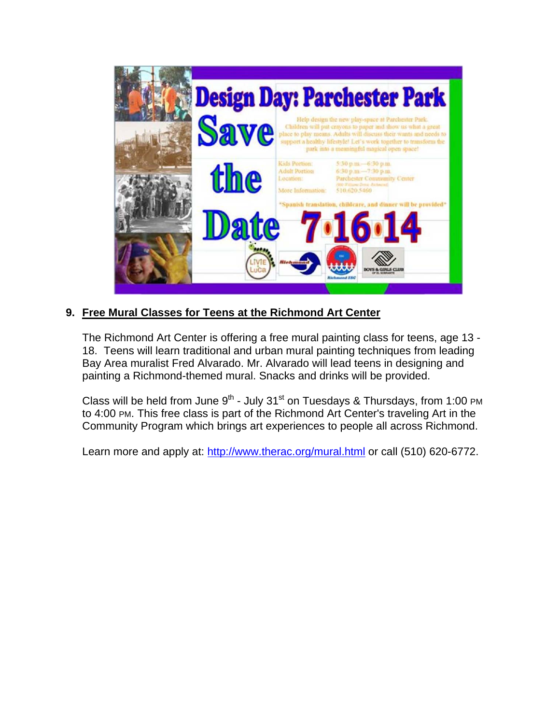

# **9. Free Mural Classes for Teens at the Richmond Art Center**

The Richmond Art Center is offering a free mural painting class for teens, age 13 - 18. Teens will learn traditional and urban mural painting techniques from leading Bay Area muralist Fred Alvarado. Mr. Alvarado will lead teens in designing and painting a Richmond-themed mural. Snacks and drinks will be provided.

Class will be held from June  $9<sup>th</sup>$  - July 31<sup>st</sup> on Tuesdays & Thursdays, from 1:00 PM to 4:00 PM. This free class is part of the Richmond Art Center's traveling Art in the Community Program which brings art experiences to people all across Richmond.

Learn more and apply at: http://www.therac.org/mural.html or call (510) 620-6772.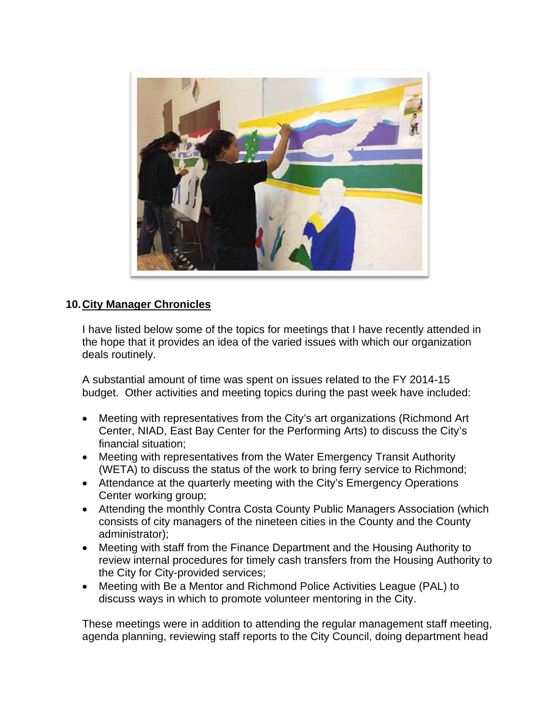

# **10. City Manager Chronicles**

I have listed below some of the topics for meetings that I have recently attended in the hope that it provides an idea of the varied issues with which our organization deals routinely.

A substantial amount of time was spent on issues related to the FY 2014-15 budget. Other activities and meeting topics during the past week have included:

- Meeting with representatives from the City's art organizations (Richmond Art Center, NIAD, East Bay Center for the Performing Arts) to discuss the City's financial situation;
- Meeting with representatives from the Water Emergency Transit Authority (WETA) to discuss the status of the work to bring ferry service to Richmond;
- Attendance at the quarterly meeting with the City's Emergency Operations Center working group;
- Attending the monthly Contra Costa County Public Managers Association (which consists of city managers of the nineteen cities in the County and the County administrator);
- Meeting with staff from the Finance Department and the Housing Authority to review internal procedures for timely cash transfers from the Housing Authority to the City for City-provided services;
- Meeting with Be a Mentor and Richmond Police Activities League (PAL) to discuss ways in which to promote volunteer mentoring in the City.

These meetings were in addition to attending the regular management staff meeting, agenda planning, reviewing staff reports to the City Council, doing department head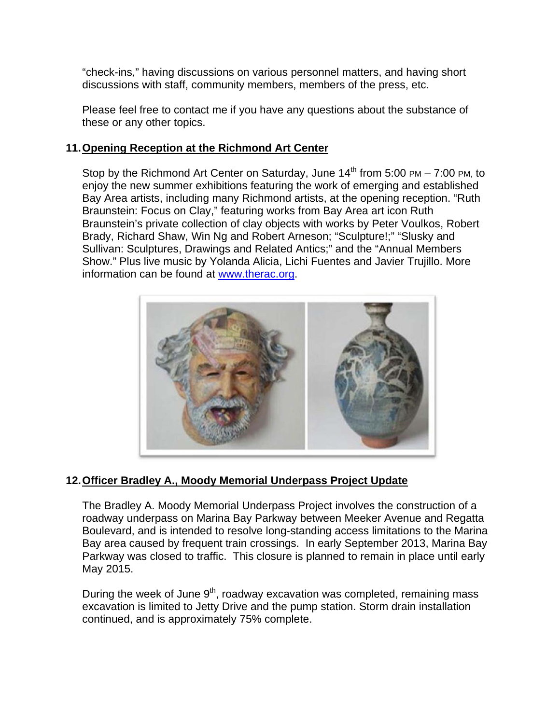"check-ins," having discussions on various personnel matters, and having short discussions with staff, community members, members of the press, etc.

Please feel free to contact me if you have any questions about the substance of these or any other topics.

### **11. Opening Reception at the Richmond Art Center**

Stop by the Richmond Art Center on Saturday, June  $14<sup>th</sup>$  from 5:00 PM – 7:00 PM, to enjoy the new summer exhibitions featuring the work of emerging and established Bay Area artists, including many Richmond artists, at the opening reception. "Ruth Braunstein: Focus on Clay," featuring works from Bay Area art icon Ruth Braunstein's private collection of clay objects with works by Peter Voulkos, Robert Brady, Richard Shaw, Win Ng and Robert Arneson; "Sculpture!;" "Slusky and Sullivan: Sculptures, Drawings and Related Antics;" and the "Annual Members Show." Plus live music by Yolanda Alicia, Lichi Fuentes and Javier Trujillo. More information can be found at www.therac.org.



# **12. Officer Bradley A., Moody Memorial Underpass Project Update**

The Bradley A. Moody Memorial Underpass Project involves the construction of a roadway underpass on Marina Bay Parkway between Meeker Avenue and Regatta Boulevard, and is intended to resolve long-standing access limitations to the Marina Bay area caused by frequent train crossings. In early September 2013, Marina Bay Parkway was closed to traffic. This closure is planned to remain in place until early May 2015.

During the week of June  $9<sup>th</sup>$ , roadway excavation was completed, remaining mass excavation is limited to Jetty Drive and the pump station. Storm drain installation continued, and is approximately 75% complete.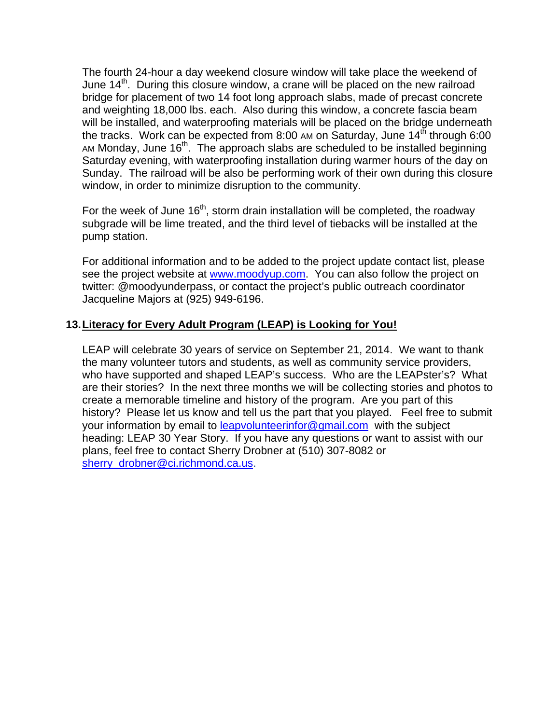The fourth 24-hour a day weekend closure window will take place the weekend of June 14<sup>th</sup>. During this closure window, a crane will be placed on the new railroad bridge for placement of two 14 foot long approach slabs, made of precast concrete and weighting 18,000 lbs. each. Also during this window, a concrete fascia beam will be installed, and waterproofing materials will be placed on the bridge underneath the tracks. Work can be expected from 8:00 AM on Saturday, June  $14<sup>th</sup>$  through 6:00 AM Monday, June  $16<sup>th</sup>$ . The approach slabs are scheduled to be installed beginning Saturday evening, with waterproofing installation during warmer hours of the day on Sunday. The railroad will be also be performing work of their own during this closure window, in order to minimize disruption to the community.

For the week of June  $16<sup>th</sup>$ , storm drain installation will be completed, the roadway subgrade will be lime treated, and the third level of tiebacks will be installed at the pump station.

For additional information and to be added to the project update contact list, please see the project website at www.moodyup.com. You can also follow the project on twitter: @moodyunderpass, or contact the project's public outreach coordinator Jacqueline Majors at (925) 949-6196.

### **13. Literacy for Every Adult Program (LEAP) is Looking for You!**

LEAP will celebrate 30 years of service on September 21, 2014. We want to thank the many volunteer tutors and students, as well as community service providers, who have supported and shaped LEAP's success. Who are the LEAPster's? What are their stories? In the next three months we will be collecting stories and photos to create a memorable timeline and history of the program. Are you part of this history? Please let us know and tell us the part that you played. Feel free to submit your information by email to **leapvolunteerinfor@gmail.com** with the subject heading: LEAP 30 Year Story. If you have any questions or want to assist with our plans, feel free to contact Sherry Drobner at (510) 307-8082 or sherry\_drobner@ci.richmond.ca.us.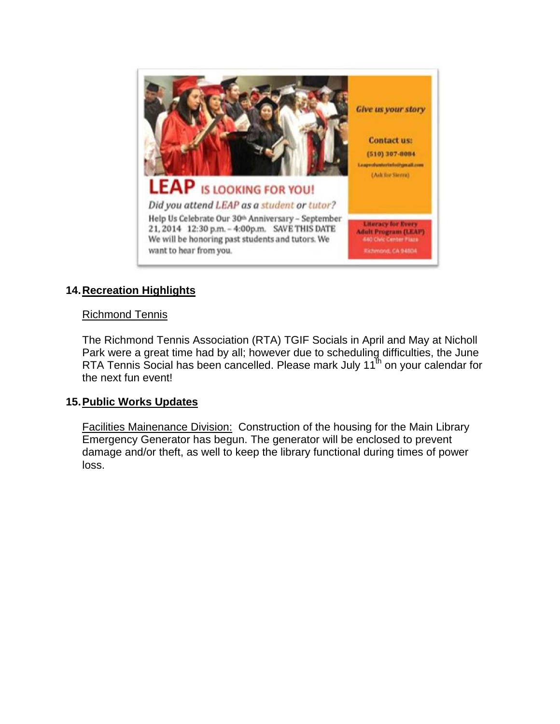

# **14. Recreation Highlights**

### Richmond Tennis

The Richmond Tennis Association (RTA) TGIF Socials in April and May at Nicholl Park were a great time had by all; however due to scheduling difficulties, the June RTA Tennis Social has been cancelled. Please mark July 11<sup>th</sup> on your calendar for the next fun event!

#### **15. Public Works Updates**

Facilities Mainenance Division: Construction of the housing for the Main Library Emergency Generator has begun. The generator will be enclosed to prevent damage and/or theft, as well to keep the library functional during times of power loss.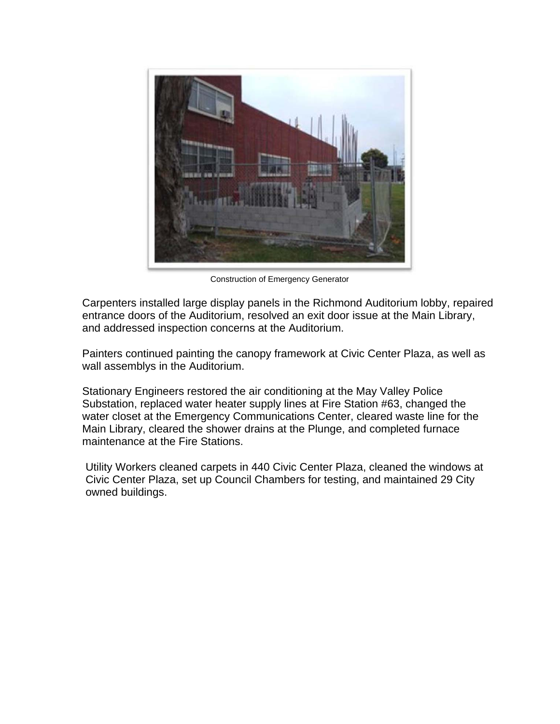

Construction of Emergency Generator

Carpenters installed large display panels in the Richmond Auditorium lobby, repaired entrance doors of the Auditorium, resolved an exit door issue at the Main Library, and addressed inspection concerns at the Auditorium.

Painters continued painting the canopy framework at Civic Center Plaza, as well as wall assemblys in the Auditorium.

Stationary Engineers restored the air conditioning at the May Valley Police Substation, replaced water heater supply lines at Fire Station #63, changed the water closet at the Emergency Communications Center, cleared waste line for the Main Library, cleared the shower drains at the Plunge, and completed furnace maintenance at the Fire Stations.

Utility Workers cleaned carpets in 440 Civic Center Plaza, cleaned the windows at Civic Center Plaza, set up Council Chambers for testing, and maintained 29 City owned buildings.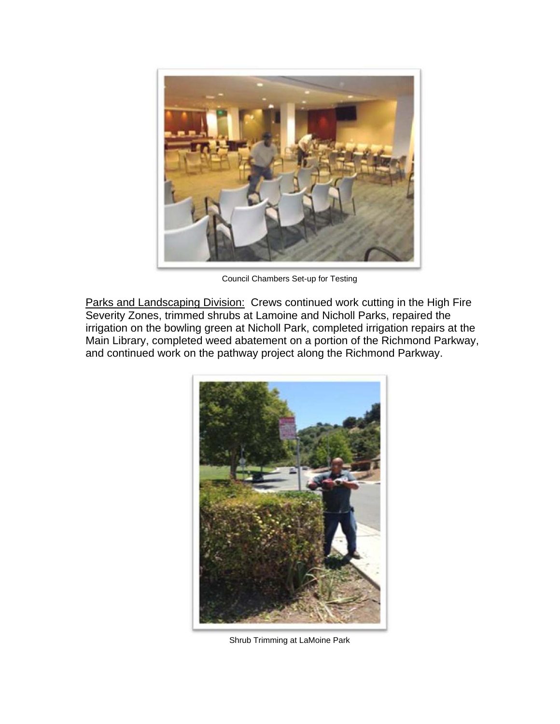

Council Chambers Set-up for Testing

Parks and Landscaping Division: Crews continued work cutting in the High Fire Severity Zones, trimmed shrubs at Lamoine and Nicholl Parks, repaired the irrigation on the bowling green at Nicholl Park, completed irrigation repairs at the Main Library, completed weed abatement on a portion of the Richmond Parkway, and continued work on the pathway project along the Richmond Parkway.



Shrub Trimming at LaMoine Park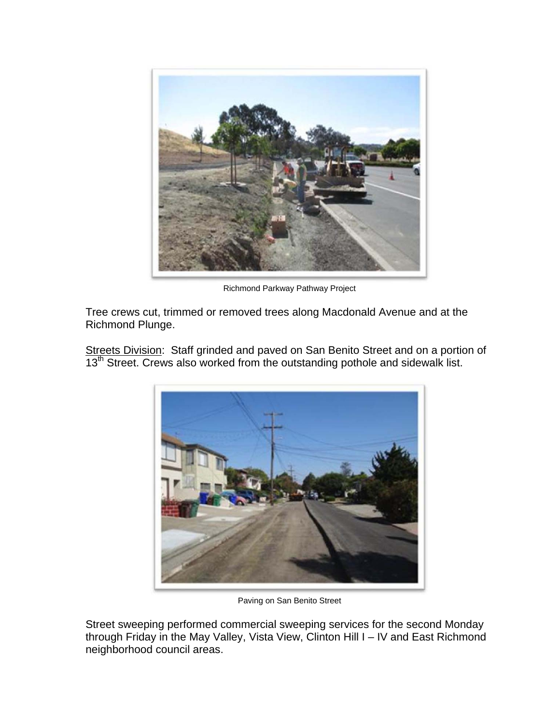

Richmond Parkway Pathway Project

Tree crews cut, trimmed or removed trees along Macdonald Avenue and at the Richmond Plunge.

Streets Division: Staff grinded and paved on San Benito Street and on a portion of 13<sup>th</sup> Street. Crews also worked from the outstanding pothole and sidewalk list.



Paving on San Benito Street

Street sweeping performed commercial sweeping services for the second Monday through Friday in the May Valley, Vista View, Clinton Hill I – IV and East Richmond neighborhood council areas.